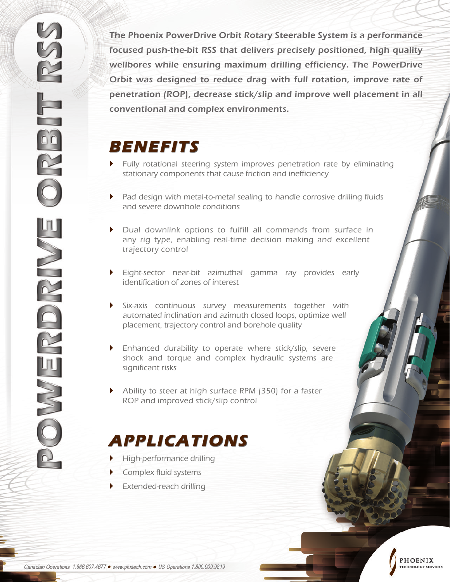The Phoenix PowerDrive Orbit Rotary Steerable System is a performance focused push-the-bit RSS that delivers precisely positioned, high quality wellbores while ensuring maximum drilling efficiency. The PowerDrive Orbit was designed to reduce drag with full rotation, improve rate of penetration (ROP), decrease stick/slip and improve well placement in all conventional and complex environments.

## **BENEFITS**

- ` Fully rotational steering system improves penetration rate by eliminating stationary components that cause friction and inefficiency
- ` Pad design with metal-to-metal sealing to handle corrosive drilling fluids and severe downhole conditions
- ` Dual downlink options to fulfill all commands from surface in any rig type, enabling real-time decision making and excellent trajectory control
- ` Eight-sector near-bit azimuthal gamma ray provides early identification of zones of interest
- ` Six-axis continuous survey measurements together with automated inclination and azimuth closed loops, optimize well placement, trajectory control and borehole quality
- $\blacktriangleright$  Enhanced durability to operate where stick/slip, severe shock and torque and complex hydraulic systems are significant risks
- $\blacktriangleright$  Ability to steer at high surface RPM (350) for a faster ROP and improved stick/slip control

## **APPLICATIONS**

- ` High-performance drilling
- **Complex fluid systems**
- $\blacktriangleright$  Extended-reach drilling